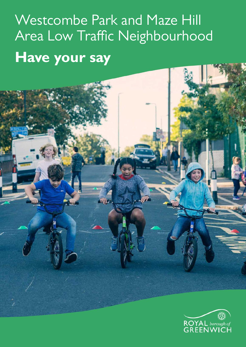# Westcombe Park and Maze Hill Area Low Traffic Neighbourhood **Have your say**

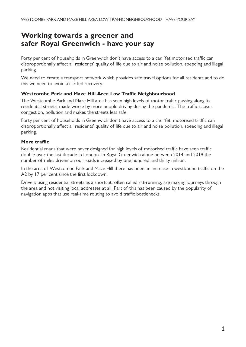# **Working towards a greener and safer Royal Greenwich - have your say**

Forty per cent of households in Greenwich don't have access to a car. Yet motorised traffic can disproportionally affect all residents' quality of life due to air and noise pollution, speeding and illegal parking.

We need to create a transport network which provides safe travel options for all residents and to do this we need to avoid a car-led recovery.

#### **Westcombe Park and Maze Hill Area Low Traffic Neighbourhood**

The Westcombe Park and Maze Hill area has seen high levels of motor traffic passing along its residential streets, made worse by more people driving during the pandemic. The traffic causes congestion, pollution and makes the streets less safe.

Forty per cent of households in Greenwich don't have access to a car. Yet, motorised traffic can disproportionally affect all residents' quality of life due to air and noise pollution, speeding and illegal parking.

#### **More traffic**

Residential roads that were never designed for high levels of motorised traffic have seen traffic double over the last decade in London. In Royal Greenwich alone between 2014 and 2019 the number of miles driven on our roads increased by one hundred and thirty million.

In the area of Westcombe Park and Maze Hill there has been an increase in westbound traffic on the A2 by 17 per cent since the first lockdown.

Drivers using residential streets as a shortcut, often called rat-running, are making journeys through the area and not visiting local addresses at all. Part of this has been caused by the popularity of navigation apps that use real-time routing to avoid traffic bottlenecks.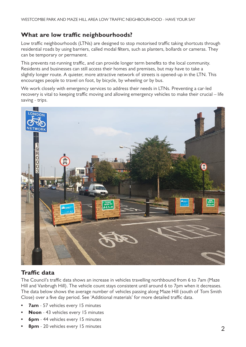# **What are low traffic neighbourhoods?**

Low traffic neighbourhoods (LTNs) are designed to stop motorised traffic taking shortcuts through residential roads by using barriers, called modal filters, such as planters, bollards or cameras. They can be temporary or permanent.

This prevents rat-running traffic, and can provide longer term benefits to the local community. Residents and businesses can still access their homes and premises, but may have to take a slightly longer route. A quieter, more attractive network of streets is opened-up in the LTN. This encourages people to travel on foot, by bicycle, by wheeling or by bus.

We work closely with emergency services to address their needs in LTNs. Preventing a car-led recovery is vital to keeping traffic moving and allowing emergency vehicles to make their crucial – life saving - trips.



# **Traffic data**

The Council's traffic data shows an increase in vehicles travelling northbound from 6 to 7am (Maze Hill and Vanbrugh Hill). The vehicle count stays consistent until around 6 to 7pm when it decreases. The data below shows the average number of vehicles passing along Maze Hill (south of Tom Smith Close) over a five day period. See 'Additional materials' for more detailed traffic data.

- **• 7am** 57 vehicles every 15 minutes
- **• Noon** 43 vehicles every 15 minutes
- **6pm** 44 vehicles every 15 minutes
- **• 8pm** 20 vehicles every 15 minutes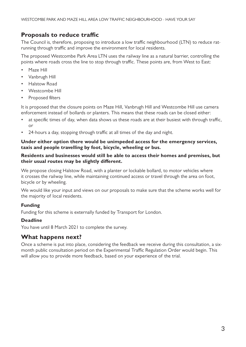# **Proposals to reduce traffic**

The Council is, therefore, proposing to introduce a low traffic neighbourhood (LTN) to reduce ratrunning through traffic and improve the environment for local residents.

The proposed Westcombe Park Area LTN uses the railway line as a natural barrier, controlling the points where roads cross the line to stop through traffic. These points are, from West to East:

- Maze Hill
- Vanbrugh Hill
- Halstow Road
- Westcombe Hill
- Proposed filters

It is proposed that the closure points on Maze Hill, Vanbrugh Hill and Westcombe Hill use camera enforcement instead of bollards or planters. This means that these roads can be closed either:

- at specific times of day, when data shows us these roads are at their busiest with through traffic, or
- 24-hours a day, stopping through traffic at all times of the day and night.

#### **Under either option there would be unimpeded access for the emergency services, taxis and people travelling by foot, bicycle, wheeling or bus.**

#### **Residents and businesses would still be able to access their homes and premises, but their usual routes may be slightly different.**

We propose closing Halstow Road, with a planter or lockable bollard, to motor vehicles where it crosses the railway line, while maintaining continued access or travel through the area on foot, bicycle or by wheeling.

We would like your input and views on our proposals to make sure that the scheme works well for the majority of local residents.

#### **Funding**

Funding for this scheme is externally funded by Transport for London.

#### **Deadline**

You have until 8 March 2021 to complete the survey.

# **What happens next?**

Once a scheme is put into place, considering the feedback we receive during this consultation, a sixmonth public consultation period on the Experimental Traffic Regulation Order would begin. This will allow you to provide more feedback, based on your experience of the trial.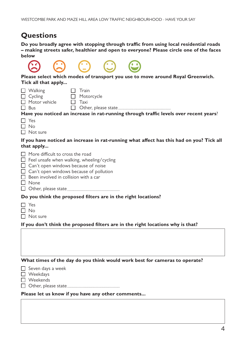# **Questions**

**Do you broadly agree with stopping through traffic from using local residential roads – making streets safer, healthier and open to everyone? Please circle one of the faces below**

| Please select which modes of transport you use to move around Royal Greenwich.<br>Tick all that apply                                                                                                                                            |
|--------------------------------------------------------------------------------------------------------------------------------------------------------------------------------------------------------------------------------------------------|
| Train<br>Walking<br>$\Box$ Cycling<br>Motorcycle<br>$\Box$ Motor vehicle<br>Taxi<br>$\Box$ Bus<br>Have you noticed an increase in rat-running through traffic levels over recent years?<br>Yes<br>7 No<br>$\top$ Not sure                        |
| If you have noticed an increase in rat-running what affect has this had on you? Tick all<br>that apply                                                                                                                                           |
| More difficult to cross the road<br>$\Box$ Feel unsafe when walking, wheeling/cycling<br>Can't open windows because of noise<br>$\Box$ Can't open windows because of pollution<br>$\Box$ Been involved in collision with a car<br>$\square$ None |
| Do you think the proposed filters are in the right locations?                                                                                                                                                                                    |
| Yes<br>∃ No<br>$\Box$ Not sure<br>If you don't think the proposed filters are in the right locations why is that?                                                                                                                                |
|                                                                                                                                                                                                                                                  |
| What times of the day do you think would work best for cameras to operate?                                                                                                                                                                       |
| Seven days a week<br>Weekdays<br>Weekends                                                                                                                                                                                                        |
| Please let us know if you have any other comments                                                                                                                                                                                                |
|                                                                                                                                                                                                                                                  |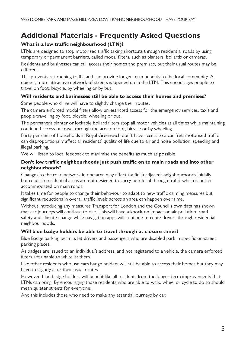# **Additional Materials - Frequently Asked Questions**

## **What is a low traffic neighbourhood (LTN)?**

LTNs are designed to stop motorised traffic taking shortcuts through residential roads by using temporary or permanent barriers, called modal filters, such as planters, bollards or cameras. Residents and businesses can still access their homes and premises, but their usual routes may be different.

This prevents rat-running traffic and can provide longer term benefits to the local community. A quieter, more attractive network of streets is opened up in the LTN. This encourages people to travel on foot, bicycle, by wheeling or by bus.

#### **Will residents and businesses still be able to access their homes and premises?**

Some people who drive will have to slightly change their routes.

The camera enforced modal filters allow unrestricted access for the emergency services, taxis and people travelling by foot, bicycle, wheeling or bus.

The permanent planter or lockable bollard filters stop all motor vehicles at all times while maintaining continued access or travel through the area on foot, bicycle or by wheeling.

Forty per cent of households in Royal Greenwich don't have access to a car. Yet, motorised traffic can disproportionally affect all residents' quality of life due to air and noise pollution, speeding and illegal parking.

We will listen to local feedback to maximise the benefits as much as possible.

#### **Don't low traffic neighbourhoods just push traffic on to main roads and into other neighbourhoods?**

Changes to the road network in one area may affect traffic in adjacent neighbourhoods initially but roads in residential areas are not designed to carry non-local through traffic which is better accommodated on main roads.

It takes time for people to change their behaviour to adapt to new traffic calming measures but significant reductions in overall traffic levels across an area can happen over time.

Without introducing any measures Transport for London and the Council's own data has shown that car journeys will continue to rise. This will have a knock-on impact on air pollution, road safety and climate change while navigation apps will continue to route drivers through residential neighbourhoods.

#### **Will blue badge holders be able to travel through at closure times?**

Blue Badge parking permits let drivers and passengers who are disabled park in specific on-street parking places.

As badges are issued to an individual's address, and not registered to a vehicle, the camera enforced filters are unable to whitelist them.

Like other residents who use cars badge holders will still be able to access their homes but they may have to slightly alter their usual routes.

However, blue badge holders will benefit like all residents from the longer-term improvements that LTNs can bring. By encouraging those residents who are able to walk, wheel or cycle to do so should mean quieter streets for everyone.

And this includes those who need to make any essential journeys by car.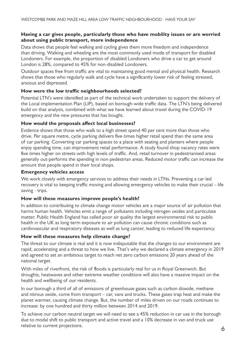#### **Having a car gives people, particularly those who have mobility issues or are worried about using public transport, more independence**

Data shows that people feel walking and cycling gives them more freedom and independence than driving. Walking and wheeling are the most commonly used mode of transport for disabled Londoners. For example, the proportion of disabled Londoners who drive a car to get around London is 28%, compared to 45% for non-disabled Londoners.

Outdoor spaces free from traffic are vital to maintaining good mental and physical health. Research shows that those who regularly walk and cycle have a significantly lower risk of feeling stressed, anxious and depressed.

#### **How were the low traffic neighbourhoods selected?**

Potential LTN's were identified as part of the technical work undertaken to support the delivery of the Local implementation Plan (LIP), based on borough-wide traffic data. The LTN's being delivered build on that analysis, combined with what we have learned about travel during the COVID-19 emergency and the new pressures that has bought.

#### **How would the proposals affect local businesses?**

Evidence shows that those who walk to a high street spend 40 per cent more than those who drive. Per square metre, cycle parking delivers five-times higher retail spend than the same area of car parking. Converting car parking spaces to a place with seating and planters where people enjoy spending time, can improvement retail performance. A study found shop vacancy rates were five times higher on streets with high levels of traffic. And, retail turnover in pedestrianised areas generally out-performs the spending in non-pedestrian areas. Reduced motor traffic can increase the amount that people spend in their local shops.

#### **Emergency vehicles access**

We work closely with emergency services to address their needs in LTNs. Preventing a car-led recovery is vital to keeping traffic moving and allowing emergency vehicles to make their crucial – life saving - trips.

#### **How will these measures improve people's health?**

In addition to contributing to climate change motor vehicles are a major source of air pollution that harms human health. Vehicles emit a range of pollutants including nitrogen oxides and particulate matter. Public Health England has called poor air quality the largest environmental risk to public health in the UK as long-term exposure to air pollution can cause chronic conditions such as cardiovascular and respiratory diseases as well as lung cancer, leading to reduced life expectancy.

#### **How will these measures help climate change?**

The threat to our climate is real and it is now indisputable that the changes to our environment are rapid, accelerating and a threat to how we live. That's why we declared a climate emergency in 2019 and agreed to set an ambitious target to reach net zero carbon emissions 20 years ahead of the national target.

With miles of riverfront, the risk of floods is particularly real for us in Royal Greenwich. But droughts, heatwaves and other extreme weather conditions will also have a massive impact on the health and wellbeing of our residents.

In our borough a third of all of emissions of greenhouse gases such as carbon dioxide, methane and nitrous oxide, come from transport – car, vans and trucks. These gases trap heat and make the planet warmer, causing climate change. But, the number of miles driven on our roads continues to increase: by one hundred and thirty million between 2014 and 2019.

To achieve our carbon neutral target we will need to see a 45% reduction in car use in the borough due to modal shift to public transport and active travel and a 10% decrease in van and truck use relative to current projections.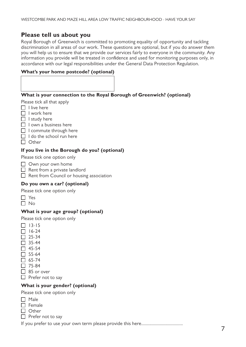# **Please tell us about you**

Royal Borough of Greenwich is committed to promoting equality of opportunity and tackling discrimination in all areas of our work. These questions are optional, but if you do answer them you will help us to ensure that we provide our services fairly to everyone in the community. Any information you provide will be treated in confidence and used for monitoring purposes only, in accordance with our legal responsibilities under the General Data Protection Regulation.

#### **What's your home postcode? (optional)**

#### **What is your connection to the Royal Borough of Greenwich? (optional)**

Please tick all that apply

- $\Box$  I live here
- $\Box$  I work here
- $\Box$  I study here
- $\Box$  I own a business here
- $\Box$  I commute through here
- $\Box$  I do the school run here
- $\Box$  Other

#### **If you live in the Borough do you? (optional)**

Please tick one option only

- $\Box$  Own your own home
- $\Box$  Rent from a private landlord
- $\Box$  Rent from Council or housing association

#### **Do you own a car? (optional)**

Please tick one option only

- $\Box$  Yes
- $\Box$  No

#### **What is your age group? (optional)**

Please tick one option only

- $\Box$  13-15
- $\Box$  16-24
- $\Box$  25-34
- $\Box$  35-44
- $\Box$  45-54
- $\Box$  55-64
- $\Box$  65-74  $\Box$  75-84
- 
- $\Box$  85 or over
- $\Box$  Prefer not to say

#### **What is your gender? (optional)**

Please tick one option only

- $\Box$  Male
- $\Pi$  Female
- $\Box$  Other
- $\Box$  Prefer not to say

If you prefer to use your own term please provide this here....................................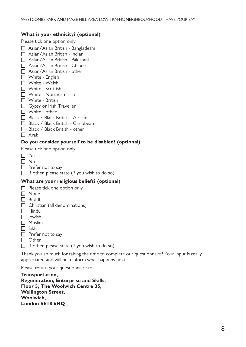#### **What is your ethnicity? (optional)**

Please tick one option only

- Asian/Asian British Bangladeshi
- $\Box$  Asian/Asian British Indian
- $\Box$  Asian/Asian British Pakistani
- Asian/Asian British Chinese
- $\Box$  Asian/Asian British other
- $\Box$  White English
- $\Box$  White Welsh
- $\Box$  White Scottish
- $\Box$  White Northern Irish
- $\Box$  White British
- $\Box$  Gypsy or Irish Traveller
- $\Box$  White other
- $\Box$  Black / Black British African
- $\Box$  Black / Black British Caribbean
- $\Box$  Black / Black British other
- $\Box$  Arab

#### **Do you consider yourself to be disabled? (optional)**

Please tick one option only

| $\Box$ Yes                                            |
|-------------------------------------------------------|
| $\Box$ No                                             |
| $\Box$ Prefer not to say                              |
| $\Box$ If other, please state (if you wish to do so). |

#### **What are your religious beliefs? (optional)**

|     | Please tick one option only          |
|-----|--------------------------------------|
|     | None                                 |
|     | <b>Buddhist</b>                      |
|     | $\Box$ Christian (all denominations) |
|     | $\Box$ Hindu                         |
|     | $\Box$ lewish                        |
|     | $\Box$ Muslim                        |
| I I | Sikh                                 |
|     | $\Box$ Prefer not to say             |
|     |                                      |

- $\Box$  Other
- $\Box$  If other, please state (if you wish to do so)

Thank you so much for taking the time to complete our questionnaire! Your input is really appreciated and will help inform what happens next.

Please return your questionnaire to:

**Transportation, Regeneration, Enterprise and Skills, Floor 5, The Woolwich Centre 35, Wellington Street, Woolwich, London SE18 6HQ**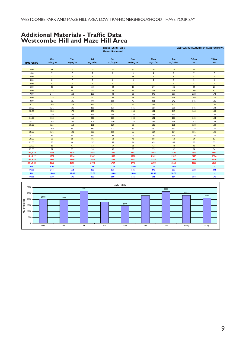## **Additional Materials - Traffic Data Westcombe Hill and Maze Hill Area**

|                    |                         |                         |                | Site No: 20337 - W1-7<br><b>Channel: Northbound</b> |                |            |          | <b>WESTCOMBE HILL NORTH OF MAYSTON MEWS</b> |                |  |
|--------------------|-------------------------|-------------------------|----------------|-----------------------------------------------------|----------------|------------|----------|---------------------------------------------|----------------|--|
|                    | Wed                     | Thu                     | Fri            | Sat                                                 | Sun            | Mon        | Tue      | 5-Day                                       | 7-Day          |  |
| <b>TIME PERIOD</b> | 28/10/20                | 29/10/20                | 30/10/20       | 31/10/20                                            | 01/11/20       | 02/11/20   | 03/11/20 | Av                                          | Av             |  |
|                    |                         |                         |                |                                                     |                |            |          |                                             |                |  |
| 0:00               | 21                      | 23                      | 25             | 19                                                  | 30             | 19         | 18       | 21                                          | 22             |  |
| 1:00               | $\overline{7}$          | $\overline{7}$          | $\overline{7}$ | 8                                                   | 9              | $\sqrt{4}$ | 8        | $\overline{7}$                              | $\overline{7}$ |  |
| 2:00               | $\overline{\mathbf{3}}$ | $\overline{\mathbf{3}}$ | 6              | $\overline{7}$                                      | 18             | $\sqrt{4}$ | 8        | 5                                           | $\overline{7}$ |  |
| 3:00               | 8                       | $\overline{7}$          | 3              | 6                                                   | 6              | $\sqrt{4}$ | 3        | 5                                           | 5              |  |
| 4:00               | 10                      | $\overline{7}$          | $\overline{7}$ | 5                                                   | $\overline{4}$ | 11         | 5        | $\boldsymbol{8}$                            | $\overline{7}$ |  |
| 5:00               | 25                      | 22                      | 20             | 22                                                  | 17             | 27         | 26       | 24                                          | 23             |  |
| 6:00               | 123                     | 94                      | 84             | 27                                                  | 16             | 111        | 116      | 106                                         | 82             |  |
| 7:00               | 244                     | 162                     | 150            | 42                                                  | 29             | 275        | 307      | 228                                         | 173            |  |
| 8:00               | 118                     | 110                     | 91             | 69                                                  | 38             | 215        | 168      | 140                                         | 116            |  |
| 9:00               | 85                      | 105                     | 90             | 105                                                 | 47             | 201        | 242      | 145                                         | 125            |  |
| 10:00              | 108                     | 128                     | 114            | 111                                                 | 87             | 149        | 255      | 151                                         | 136            |  |
| 11:00              | 121                     | 146                     | 138            | 131                                                 | 145            | 117        | 201      | 145                                         | 143            |  |
| 12:00              | 120                     | 176                     | 156            | 150                                                 | 134            | 131        | 147      | 146                                         | 145            |  |
| 13:00              | 139                     | 137                     | 299            | 149                                                 | 156            | 137        | 143      | 171                                         | 166            |  |
| 14:00              | 118                     | 116                     | 237            | 160                                                 | 124            | 141        | 113      | 145                                         | 144            |  |
| 15:00              | 105                     | 130                     | 201            | 130                                                 | 124            | 139        | 136      | 142                                         | 138            |  |
| 16:00              | 125                     | 118                     | 181            | 120                                                 | 89             | 129        | 138      | 138                                         | 129            |  |
| 17:00              | 109                     | 99                      | 180            | 113                                                 | 91             | 120        | 132      | 128                                         | 121            |  |
| 18:00              | 136                     | 101                     | 238            | 105                                                 | 53             | 114        | 164      | 151                                         | 130            |  |
| 19:00              | 94                      | 89                      | 240            | 93                                                  | 63             | 76         | 130      | 126                                         | 112            |  |
| 20:00              | 56                      | 59                      | 86             | 64                                                  | 48             | 58         | 60       | 64                                          | 62             |  |
| 21:00              | 66                      | 44                      | 57             | 63                                                  | 44             | 49         | 60       | 55                                          | 55             |  |
| 22:00              | 38                      | 47                      | 53             | 57                                                  | 36             | 42         | 48       | 46                                          | 46             |  |
| 23:00              | 27                      | 35                      | 39             | 38                                                  | 33             | 35         | 32       | 34                                          | 34             |  |
| 12H,7-19           | 1528                    | 1528                    | 2075           | 1385                                                | 1117           | 1868       | 2146     | 1829                                        | 1664           |  |
| 16H,6-22           | 1867                    | 1814                    | 2542           | 1632                                                | 1288           | 2162       | 2512     | 2179                                        | 1974           |  |
| 18H,6-24           | 1932                    | 1896                    | 2634           | 1727                                                | 1357           | 2239       | 2592     | 2259                                        | 2054           |  |
| 24H,0-24           | 2006                    | 1965                    | 2702           | 1794                                                | 1441           | 2308       | 2660     | 2328                                        | 2125           |  |
| <b>AM</b>          | 7:00                    | 7:00                    | 7:00           | 11:00                                               | 11:00          | 7:00       | 7:00     | $\sim$                                      | $\omega$       |  |
| Peak               | 244                     | 162                     | 150            | 131                                                 | 145            | 275        | 307      | 228                                         | 202            |  |
| <b>PM</b>          | 13:00                   | 12:00                   | 13:00          | 14:00                                               | 13:00          | 14:00      | 18:00    | $\overline{\phantom{a}}$                    | $\omega$       |  |
| Peak               | 139                     | 176                     | 299            | 160                                                 | 156            | 141        | 164      | 184                                         | 176            |  |

|          | Daily Totals<br>3000 |  |     |  |     |  |      |      |      |  |      |  |     |  |              |  |       |  |       |  |
|----------|----------------------|--|-----|--|-----|--|------|------|------|--|------|--|-----|--|--------------|--|-------|--|-------|--|
|          |                      |  |     |  |     |  | 2702 |      | 2660 |  |      |  |     |  |              |  |       |  |       |  |
|          | 2500                 |  |     |  |     |  |      | 2308 |      |  |      |  |     |  | 2328<br>2125 |  |       |  |       |  |
|          | 2006<br>1965<br>2000 |  |     |  |     |  | 1794 |      |      |  |      |  |     |  |              |  |       |  |       |  |
| vehicles | 1500                 |  |     |  |     |  |      |      |      |  | 1441 |  |     |  |              |  |       |  |       |  |
| ৳        | 1000                 |  |     |  |     |  |      |      |      |  |      |  |     |  |              |  |       |  |       |  |
| g        |                      |  |     |  |     |  |      |      |      |  |      |  |     |  |              |  |       |  |       |  |
|          | 500                  |  |     |  |     |  |      |      |      |  |      |  |     |  |              |  |       |  |       |  |
|          | 0                    |  |     |  |     |  |      |      |      |  |      |  |     |  |              |  |       |  |       |  |
|          |                      |  | Wed |  | Thu |  | Fri  |      | Sat  |  | Sun  |  | Mon |  | Tue          |  | 5-Day |  | 7-Day |  |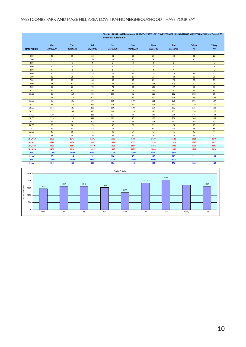#### WESTCOMBE PARK AND MAZE HILL AREA LOW TRAFFIC NEIGHBOURHOOD - HAVE YOUR SAY

|                    |                 |                 |                 | <b>Channel: Southbound</b> |                 |                 | Site No : 20337 - W1Westcombe 17 ATC'S\[20337 - W1-7 WESTCOMBE HILL NORTH OF MAYSTON MEWS.xlsxJSpeed2'!Q1 |                |             |
|--------------------|-----------------|-----------------|-----------------|----------------------------|-----------------|-----------------|-----------------------------------------------------------------------------------------------------------|----------------|-------------|
| <b>TIME PERIOD</b> | Wed<br>28/10/20 | Thu<br>29/10/20 | Fri<br>30/10/20 | Sat<br>31/10/20            | Sun<br>01/11/20 | Mon<br>02/11/20 | Tue<br>03/11/20                                                                                           | 5-Day<br>Av    | 7-Day<br>Av |
|                    |                 |                 |                 |                            |                 |                 |                                                                                                           |                |             |
| 0:00               | 23              | 19              | 23              | 21                         | 28              | 20              | 20                                                                                                        | 21             | 22          |
| 1:00               | 9               | 13              | 10              | 12                         | 15              | 9               | $\overline{7}$                                                                                            | 10             | 11          |
| 2:00               | $\overline{a}$  | 5 <sub>1</sub>  | $\sqrt{4}$      | $\overline{\mathbf{3}}$    | $\bf 8$         | $\overline{4}$  | 5                                                                                                         | $\sqrt{4}$     | 5           |
| 3:00               | $\overline{4}$  | $\overline{4}$  | 6               | 9                          | 4               | 6               | 6                                                                                                         | 5              | 6           |
| 4:00               | 6               | $\overline{4}$  | $\overline{2}$  | 6                          | 6               | $\overline{4}$  | $\sqrt{4}$                                                                                                | $\overline{4}$ | 5           |
| 5:00               | 16              | 17              | 18              | 17                         | 14              | 19              | 18                                                                                                        | 18             | 17          |
| 6:00               | 25              | 28              | $26\,$          | $22\,$                     | 17              | 31              | 28                                                                                                        | 28             | 25          |
| 7:00               | 56              | 63              | 68              | 38                         | 25              | 85              | 78                                                                                                        | 70             | 59          |
| 8:00               | 71              | 82              | 56              | 64                         | 31              | 111             | 129                                                                                                       | 90             | 78          |
| 9:00               | 56              | 73              | 72              | 73                         | 35              | 130             | 97                                                                                                        | 86             | 77          |
| 10:00              | 74              | 83              | 92              | 97                         | 46              | 115             | 91                                                                                                        | 91             | 85          |
| 11:00              | 88              | 114             | 86              | 108                        | 73              | 110             | 112                                                                                                       | 102            | 99          |
| 12:00              | 79              | 112             | 105             | 115                        | 96              | 99              | 126                                                                                                       | 104            | 105         |
| 13:00              | 98              | 106             | 87              | 109                        | 107             | 111             | 128                                                                                                       | 106            | 107         |
| 14:00              | 99              | 117             | 113             | 126                        | 97              | 107             | 112                                                                                                       | 110            | 110         |
| 15:00              | 117             | 126             | 128             | 109                        | 109             | 154             | 152                                                                                                       | 135            | 128         |
| 16:00              | 117             | 139             | 115             | 108                        | 110             | 146             | 155                                                                                                       | 134            | 127         |
| 17:00              | 129             | 115             | 135             | 121                        | 84              | 148             | 205                                                                                                       | 146            | 134         |
| 18:00              | 115             | 113             | 144             | 122                        | 75              | 123             | 236                                                                                                       | 146            | 133         |
| 19:00              | 84              | 76              | 109             | 68                         | 56              | 101             | 142                                                                                                       | 102            | 91          |
| 20:00              | 66              | 60              | 73              | 56                         | 50              | 79              | 74                                                                                                        | 70             | 65          |
| 21:00              | 44              | 63              | 58              | 51                         | 42              | 64              | 63                                                                                                        | 58             | 55          |
| 22:00              | 40              | 50              | 46              | 49                         | 34              | 42              | 45                                                                                                        | 45             | 44          |
| 23:00              | 31              | 34              | 36              | 32                         | 27              | 26              | 28                                                                                                        | 31             | 31          |
| 12H, 7-19          | 1099            | 1243            | 1201            | 1190                       | 888             | 1439            | 1621                                                                                                      | 1321           | 1240        |
| 16H,6-22           | 1318            | 1470            | 1467            | 1387                       | 1053            | 1714            | 1928                                                                                                      | 1579           | 1477        |
| 18H,6-24           | 1389            | 1554            | 1549            | 1468                       | 1114            | 1782            | 2001                                                                                                      | 1655           | 1551        |
| 24H,0-24           | 1451            | 1616            | 1612            | 1536                       | 1189            | 1844            | 2061                                                                                                      | 1717           | 1616        |
| <b>AM</b>          | 11:00           | 11:00           | 10:00           | 11:00                      | 11:00           | 9:00            | 8:00                                                                                                      | $\blacksquare$ | $\bullet$ . |
| Peak               | 88              | 114             | 92              | 108                        | 73              | 130             | 129                                                                                                       | 111            | 105         |
| PM                 | 17:00           | 16:00           | 18:00           | 14:00                      | 16:00           | 15:00           | 18:00                                                                                                     |                |             |
| Peak               | 129             | 139             | 144             | 126                        | 110             | 154             | 236                                                                                                       | 160            | 148         |



#### **='\DRES\Transportation\Engineering\04 ATCs\ATCs ALL\Westcombe 17 ATC''s\[20337 - W1-7 WESTCOMBE HILL NORTH OF MAYSTON MEWS.xlsx]Speed2'!Q1 Site No : 20337 - W1-7**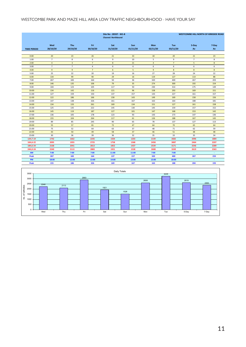#### WESTCOMBE PARK AND MAZE HILL AREA LOW TRAFFIC NEIGHBOURHOOD - HAVE YOUR SAY

|                    |                 | <b>WESTCOMBE HILL NORTH OF KIRKSIDE ROAD</b> |                 |                 |                        |                        |                 |                          |                |
|--------------------|-----------------|----------------------------------------------|-----------------|-----------------|------------------------|------------------------|-----------------|--------------------------|----------------|
| <b>TIME PERIOD</b> | Wed<br>28/10/20 | Thu<br>29/10/20                              | Fri<br>30/10/20 | Sat<br>31/10/20 | <b>Sun</b><br>01/11/20 | <b>Mon</b><br>02/11/20 | Tue<br>03/11/20 | 5-Day<br>Av              | 7-Day<br>Av    |
| 0:00               | 20              | 23                                           | 26              | 21              | 33                     | 18                     | 20              | 21                       | 23             |
| 1:00               | $\overline{7}$  | 8                                            | 6               | 9               | 10                     | 5                      | 9               | $\overline{7}$           | $\bf 8$        |
| 2:00               | $\overline{4}$  | 3                                            | $\overline{7}$  | 8               | 21                     | $\overline{4}$         | $\overline{7}$  | 5                        | 8              |
| 3:00               | $\overline{7}$  | $\overline{7}$                               | $\overline{4}$  | 6               | 6                      | 6                      | 6               | 6                        | 6              |
| 4:00               | $\overline{9}$  | $\overline{9}$                               | $\overline{7}$  | $6\phantom{1}6$ | 5                      | $\overline{9}$         | 8               | 8                        | $\bf 8$        |
| 5:00               | 25              | 22                                           | 20              | 19              | 16                     | 27                     | 28              | 24                       | 22             |
| 6:00               | 134             | 99                                           | 90              | 29              | 16                     | 119                    | 127             | 114                      | 88             |
| 7:00               | 267             | 183                                          | 164             | 50              | 36                     | 320                    | 400             | 267                      | 203            |
| 8:00               | 146             | 135                                          | 106             | 79              | 35                     | 274                    | 300             | 192                      | 154            |
| 9:00               | 104             | 123                                          | 105             | 117             | 50                     | 230                    | 314             | 175                      | 149            |
| 10:00              | 134             | 142                                          | 116             | 121             | 96                     | 158                    | 293             | 169                      | 151            |
| 11:00              | 127             | 159                                          | 150             | 137             | 157                    | 143                    | 227             | 161                      | 157            |
| 12:00              | 122             | 186                                          | 166             | 158             | 143                    | 149                    | 169             | 158                      | 156            |
| 13:00              | 147             | 138                                          | 326             | 161             | 167                    | 163                    | 164             | 188                      | 181            |
| 14:00              | 134             | 133                                          | 261             | 169             | 134                    | 151                    | 127             | 161                      | 158            |
| 15:00              | 125             | 135                                          | 222             | 145             | 130                    | 145                    | 159             | 157                      | 152            |
| 16:00              | 145             | 119                                          | 187             | 127             | 101                    | 147                    | 168             | 153                      | 142            |
| 17:00              | 136             | 105                                          | 178             | 123             | 93                     | 143                    | 173             | 147                      | 136            |
| 18:00              | 155             | 104                                          | 264             | 117             | 61                     | 126                    | 188             | 167                      | 145            |
| 19:00              | 89              | 85                                           | 245             | 90              | 65                     | 78                     | 137             | 127                      | 113            |
| 20:00              | 55              | 57                                           | 81              | 72              | 47                     | 64                     | 70              | 65                       | 64             |
| 21:00              | 75              | 52                                           | 64              | 63              | 37                     | 48                     | 71              | 62                       | 59             |
| 22:00              | 43              | 50                                           | 49              | 58              | 37                     | 46                     | 51              | 48                       | 48             |
| 23:00              | 30              | 36                                           | 39              | 36              | 32                     | 35                     | 33              | 35                       | 34             |
| 12H, 7-19          | 1742            | 1662                                         | 2245            | 1504            | 1203                   | 2149                   | 2682            | 2096                     | 1884           |
| 16H,6-22           | 2095            | 1955                                         | 2725            | 1758            | 1368                   | 2458                   | 3087            | 2464                     | 2207           |
| 18H, 6-24          | 2168            | 2041                                         | 2813            | 1852            | 1437                   | 2539                   | 3171            | 2546                     | 2289           |
| 24H,0-24           | 2240            | 2113                                         | 2883            | 1921            | 1528                   | 2608                   | 3249            | 2619                     | 2363           |
| <b>AM</b>          | 7:00            | 7:00                                         | 7:00            | 11:00           | 11:00                  | 7:00                   | 7:00            | ÷                        | ÷              |
| Peak               | 267             | 183                                          | 164             | 137             | 157                    | 320                    | 400             | 267                      | 233            |
| <b>PM</b>          | 18:00           | 12:00                                        | 13:00           | 14:00           | 13:00                  | 13:00                  | 18:00           | $\overline{\phantom{a}}$ | $\blacksquare$ |
| Peak               | 155             | 186                                          | 326             | 169             | 167                    | 163                    | 188             | 204                      | 193            |

|                        | Daily Totals<br>3500 |      |  |      |  |      |  |      |  |      |  |      |  |      |       |       |  |
|------------------------|----------------------|------|--|------|--|------|--|------|--|------|--|------|--|------|-------|-------|--|
|                        |                      |      |  |      |  | 2883 |  |      |  |      |  |      |  | 3249 |       |       |  |
| 3000                   |                      | 2608 |  |      |  |      |  |      |  |      |  | 2619 |  |      |       |       |  |
| 2500                   |                      | 2240 |  | 2113 |  |      |  | 1921 |  |      |  |      |  |      |       | 2363  |  |
| vehicles<br>2000       |                      |      |  |      |  |      |  |      |  | 1528 |  |      |  |      |       |       |  |
| 1500<br>$\overline{5}$ |                      |      |  |      |  |      |  |      |  |      |  |      |  |      |       |       |  |
| ρ.<br>1000             |                      |      |  |      |  |      |  |      |  |      |  |      |  |      |       |       |  |
| 500                    |                      |      |  |      |  |      |  |      |  |      |  |      |  |      |       |       |  |
| 0                      |                      |      |  |      |  |      |  |      |  |      |  |      |  |      |       |       |  |
|                        |                      | Wed  |  | Thu  |  | Fri  |  | Sat  |  | Sun  |  | Mon  |  | Tue  | 5-Day | 7-Day |  |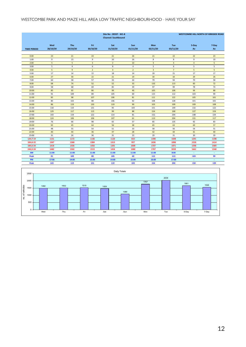#### WESTCOMBE PARK AND MAZE HILL AREA LOW TRAFFIC NEIGHBOURHOOD - HAVE YOUR SAY

|                    |                 | <b>WESTCOMBE HILL NORTH OF KIRKSIDE ROAD</b> |                         |                 |                 |                 |                 |                |             |
|--------------------|-----------------|----------------------------------------------|-------------------------|-----------------|-----------------|-----------------|-----------------|----------------|-------------|
| <b>TIME PERIOD</b> | Wed<br>28/10/20 | <b>Thu</b><br>29/10/20                       | Fri<br>30/10/20         | Sat<br>31/10/20 | Sun<br>01/11/20 | Mon<br>02/11/20 | Tue<br>03/11/20 | 5-Day<br>Av    | 7-Day<br>Av |
| 0:00               | 23              | 21                                           | 24                      | 21              | 26              | 21              | 22              | 22             | 23          |
| 1:00               | 9               | 13                                           | 9                       | 10              | 16              | 8               | 8               | 9              | 10          |
| 2:00               | 5               | 5                                            | $\overline{\mathbf{3}}$ | $\overline{2}$  | 10              | $\overline{3}$  | 4               | $\sqrt{4}$     | 5           |
| 3:00               | 5               | 4                                            | 6                       | 8               | $\sqrt{4}$      | 5               | 6               | 5              | 5           |
| 4:00               | $\overline{5}$  | $\overline{9}$                               | $\overline{2}$          | $\overline{4}$  | $\overline{2}$  | $\overline{3}$  | $\overline{7}$  | $\overline{5}$ | 5           |
| 5:00               | 17              | 14                                           | 15                      | 18              | 14              | 20              | 21              | 17             | 17          |
| 6:00               | 27              | 30 <sub>o</sub>                              | 22                      | 21              | 19              | 30              | 34              | 29             | 26          |
| 7:00               | 64              | 58                                           | 57                      | 33              | 24              | 79              | 94              | 70             | 58          |
| 8:00               | 68              | 74                                           | 52                      | 52              | 33              | 110             | 113             | 83             | 72          |
| 9:00               | 58              | 68                                           | 69                      | 85              | 39              | 97              | 99              | 78             | 74          |
| 10:00              | 85              | 92                                           | 80                      | 99              | 49              | 105             | 106             | 94             | 88          |
| 11:00              | 91              | 109                                          | 89                      | 105             | 69              | 115             | 112             | 103            | 99          |
| 12:00              | 85              | 98                                           | 107                     | 106             | 81              | 111             | 122             | 105            | 101         |
| 13:00              | 80              | 102                                          | 88                      | 106             | 92              | 108             | 128             | 101            | 101         |
| 14:00              | 86              | 119                                          | 130                     | 119             | 90              | 103             | 109             | 109            | 108         |
| 15:00              | 118             | 110                                          | 131                     | 95              | 103             | 151             | 149             | 132            | 122         |
| 16:00              | 129             | 117                                          | 115                     | 99              | 88              | 154             | 168             | 137            | 124         |
| 17:00              | 143             | 119                                          | 122                     | 114             | 81              | 152             | 204             | 148            | 134         |
| 18:00              | 124             | 106                                          | 106                     | 107             | 61              | 113             | 204             | 131            | 117         |
| 19:00              | 76              | 66                                           | 98                      | 65              | 57              | 85              | 135             | 92             | 83          |
| 20:00              | 65              | 45                                           | 64                      | 56              | 38              | 65              | 63              | 60             | 57          |
| 21:00              | 48              | 55                                           | 54                      | 51              | 33              | 58              | 56              | 54             | 51          |
| 22:00              | 40              | 44                                           | 36                      | 47              | 28              | 42              | 44              | 41             | 40          |
| 23:00              | 31              | 24                                           | 36                      | 31              | 23              | 29              | 31              | 30             | 29          |
| 12H, 7-19          | 1131            | 1172                                         | 1146                    | 1120            | 810             | 1398            | 1608            | 1291           | 1198        |
| 16H,6-22           | 1347            | 1368                                         | 1384                    | 1313            | 957             | 1636            | 1896            | 1526           | 1414        |
| 18H, 6-24          | 1418            | 1436                                         | 1456                    | 1391            | 1008            | 1707            | 1971            | 1598           | 1484        |
| 24H,0-24           | 1482            | 1502                                         | 1515                    | 1454            | 1080            | 1767            | 2039            | 1661           | 1548        |
| <b>AM</b>          | 11:00           | 11:00                                        | 11:00                   | 11:00           | 11:00           | 11:00           | 8:00            |                |             |
| Peak               | 91              | 109                                          | 89                      | 105             | 69              | 115             | 113             | 103            | 99          |
| PM                 | 17:00           | 14:00                                        | 15:00                   | 14:00           | 15:00           | 16:00           | 17:00           | ÷              | ÷           |
| Peak               | 143             | 119                                          | 131                     | 119             | 103             | 154             | 204             | 150            | 139         |